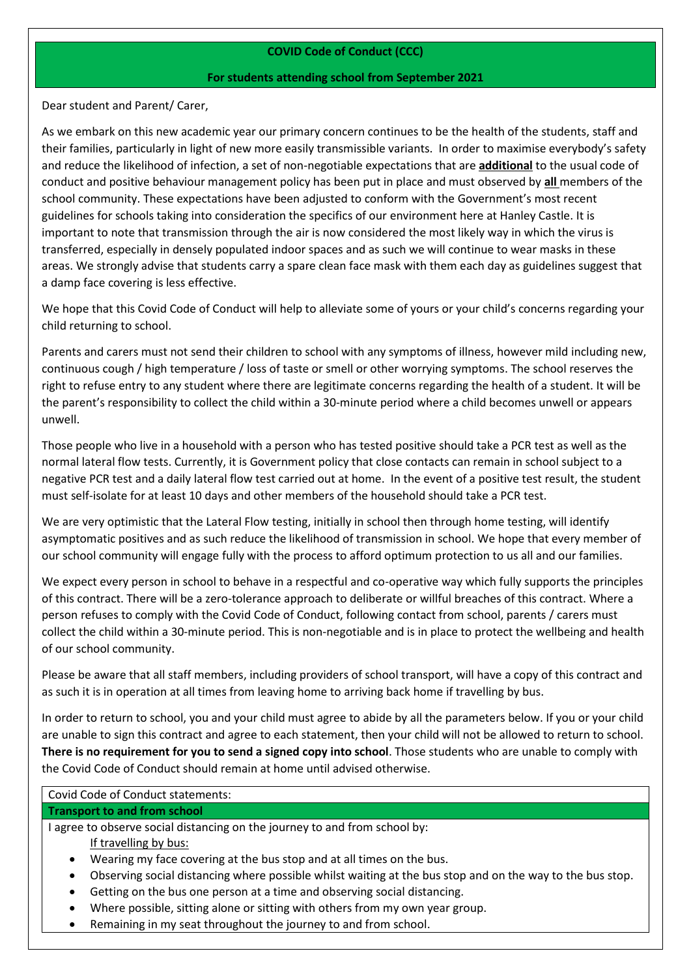# **COVID Code of Conduct (CCC)**

### **For students attending school from September 2021**

Dear student and Parent/ Carer,

As we embark on this new academic year our primary concern continues to be the health of the students, staff and their families, particularly in light of new more easily transmissible variants. In order to maximise everybody's safety and reduce the likelihood of infection, a set of non-negotiable expectations that are **additional** to the usual code of conduct and positive behaviour management policy has been put in place and must observed by **all** members of the school community. These expectations have been adjusted to conform with the Government's most recent guidelines for schools taking into consideration the specifics of our environment here at Hanley Castle. It is important to note that transmission through the air is now considered the most likely way in which the virus is transferred, especially in densely populated indoor spaces and as such we will continue to wear masks in these areas. We strongly advise that students carry a spare clean face mask with them each day as guidelines suggest that a damp face covering is less effective.

We hope that this Covid Code of Conduct will help to alleviate some of yours or your child's concerns regarding your child returning to school.

Parents and carers must not send their children to school with any symptoms of illness, however mild including new, continuous cough / high temperature / loss of taste or smell or other worrying symptoms. The school reserves the right to refuse entry to any student where there are legitimate concerns regarding the health of a student. It will be the parent's responsibility to collect the child within a 30-minute period where a child becomes unwell or appears unwell.

Those people who live in a household with a person who has tested positive should take a PCR test as well as the normal lateral flow tests. Currently, it is Government policy that close contacts can remain in school subject to a negative PCR test and a daily lateral flow test carried out at home. In the event of a positive test result, the student must self-isolate for at least 10 days and other members of the household should take a PCR test.

We are very optimistic that the Lateral Flow testing, initially in school then through home testing, will identify asymptomatic positives and as such reduce the likelihood of transmission in school. We hope that every member of our school community will engage fully with the process to afford optimum protection to us all and our families.

We expect every person in school to behave in a respectful and co-operative way which fully supports the principles of this contract. There will be a zero-tolerance approach to deliberate or willful breaches of this contract. Where a person refuses to comply with the Covid Code of Conduct, following contact from school, parents / carers must collect the child within a 30-minute period. This is non-negotiable and is in place to protect the wellbeing and health of our school community.

Please be aware that all staff members, including providers of school transport, will have a copy of this contract and as such it is in operation at all times from leaving home to arriving back home if travelling by bus.

In order to return to school, you and your child must agree to abide by all the parameters below. If you or your child are unable to sign this contract and agree to each statement, then your child will not be allowed to return to school. **There is no requirement for you to send a signed copy into school**. Those students who are unable to comply with the Covid Code of Conduct should remain at home until advised otherwise.

| <b>Covid Code of Conduct statements:</b> |  |
|------------------------------------------|--|
|------------------------------------------|--|

#### **Transport to and from school**

I agree to observe social distancing on the journey to and from school by:

If travelling by bus:

- Wearing my face covering at the bus stop and at all times on the bus.
- Observing social distancing where possible whilst waiting at the bus stop and on the way to the bus stop.
- Getting on the bus one person at a time and observing social distancing.
- Where possible, sitting alone or sitting with others from my own year group.
- Remaining in my seat throughout the journey to and from school.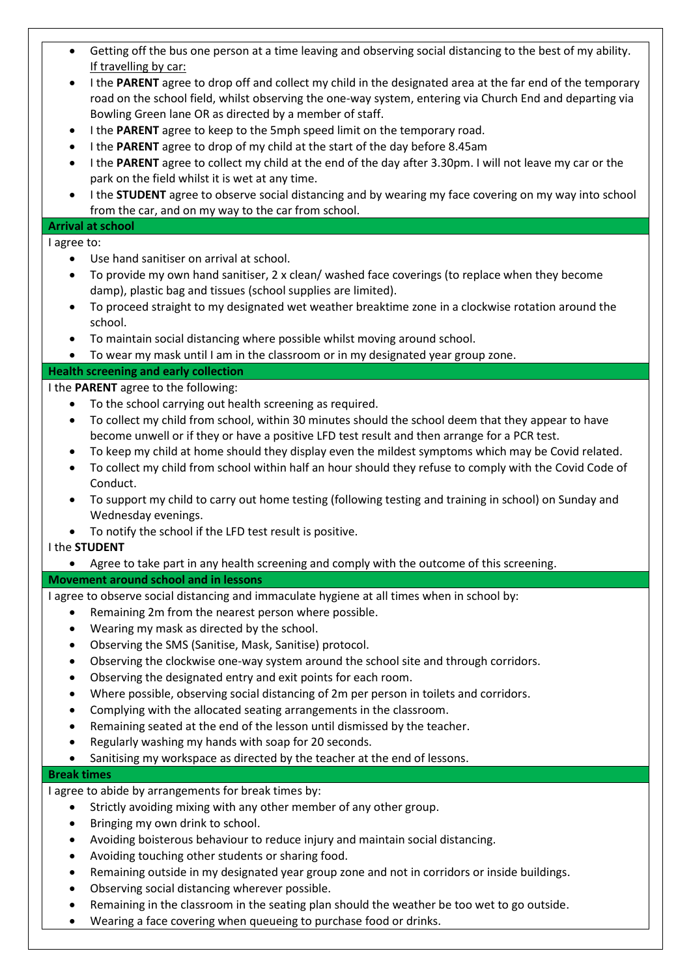| Getting off the bus one person at a time leaving and observing social distancing to the best of my ability.<br>٠                                                      |
|-----------------------------------------------------------------------------------------------------------------------------------------------------------------------|
| If travelling by car:<br>I the PARENT agree to drop off and collect my child in the designated area at the far end of the temporary<br>$\bullet$                      |
| road on the school field, whilst observing the one-way system, entering via Church End and departing via                                                              |
| Bowling Green lane OR as directed by a member of staff.                                                                                                               |
| I the PARENT agree to keep to the 5mph speed limit on the temporary road.<br>٠                                                                                        |
| I the PARENT agree to drop of my child at the start of the day before 8.45am<br>٠                                                                                     |
| I the PARENT agree to collect my child at the end of the day after 3.30pm. I will not leave my car or the<br>٠<br>park on the field whilst it is wet at any time.     |
| I the STUDENT agree to observe social distancing and by wearing my face covering on my way into school<br>$\bullet$                                                   |
| from the car, and on my way to the car from school.                                                                                                                   |
| <b>Arrival at school</b>                                                                                                                                              |
| I agree to:                                                                                                                                                           |
| Use hand sanitiser on arrival at school.<br>$\bullet$                                                                                                                 |
| To provide my own hand sanitiser, 2 x clean/ washed face coverings (to replace when they become<br>٠<br>damp), plastic bag and tissues (school supplies are limited). |
| To proceed straight to my designated wet weather breaktime zone in a clockwise rotation around the<br>$\bullet$                                                       |
| school.                                                                                                                                                               |
| To maintain social distancing where possible whilst moving around school.<br>$\bullet$                                                                                |
| To wear my mask until I am in the classroom or in my designated year group zone.<br>$\bullet$                                                                         |
| <b>Health screening and early collection</b>                                                                                                                          |
| I the PARENT agree to the following:<br>To the school carrying out health screening as required.<br>$\bullet$                                                         |
| To collect my child from school, within 30 minutes should the school deem that they appear to have<br>٠                                                               |
| become unwell or if they or have a positive LFD test result and then arrange for a PCR test.                                                                          |
| To keep my child at home should they display even the mildest symptoms which may be Covid related.<br>٠                                                               |
| To collect my child from school within half an hour should they refuse to comply with the Covid Code of<br>$\bullet$                                                  |
| Conduct.                                                                                                                                                              |
| To support my child to carry out home testing (following testing and training in school) on Sunday and<br>$\bullet$                                                   |
| Wednesday evenings.                                                                                                                                                   |
| To notify the school if the LFD test result is positive.<br>I the STUDENT                                                                                             |
| Agree to take part in any health screening and comply with the outcome of this screening.                                                                             |
| Movement around school and in lessons                                                                                                                                 |
| I agree to observe social distancing and immaculate hygiene at all times when in school by:                                                                           |
| Remaining 2m from the nearest person where possible.<br>$\bullet$                                                                                                     |
| Wearing my mask as directed by the school.<br>$\bullet$                                                                                                               |
| Observing the SMS (Sanitise, Mask, Sanitise) protocol.<br>$\bullet$                                                                                                   |
| Observing the clockwise one-way system around the school site and through corridors.<br>$\bullet$                                                                     |
| Observing the designated entry and exit points for each room.<br>٠<br>Where possible, observing social distancing of 2m per person in toilets and corridors.<br>٠     |
| Complying with the allocated seating arrangements in the classroom.<br>$\bullet$                                                                                      |
| Remaining seated at the end of the lesson until dismissed by the teacher.                                                                                             |
| Regularly washing my hands with soap for 20 seconds.<br>$\bullet$                                                                                                     |
| Sanitising my workspace as directed by the teacher at the end of lessons.<br>$\bullet$                                                                                |
| <b>Break times</b>                                                                                                                                                    |
| I agree to abide by arrangements for break times by:                                                                                                                  |
| Strictly avoiding mixing with any other member of any other group.<br>$\bullet$                                                                                       |
| Bringing my own drink to school.<br>٠<br>Avoiding boisterous behaviour to reduce injury and maintain social distancing.<br>$\bullet$                                  |
| Avoiding touching other students or sharing food.<br>$\bullet$                                                                                                        |
| Remaining outside in my designated year group zone and not in corridors or inside buildings.<br>٠                                                                     |
| Observing social distancing wherever possible.<br>٠                                                                                                                   |
|                                                                                                                                                                       |

- Remaining in the classroom in the seating plan should the weather be too wet to go outside.
- Wearing a face covering when queueing to purchase food or drinks.